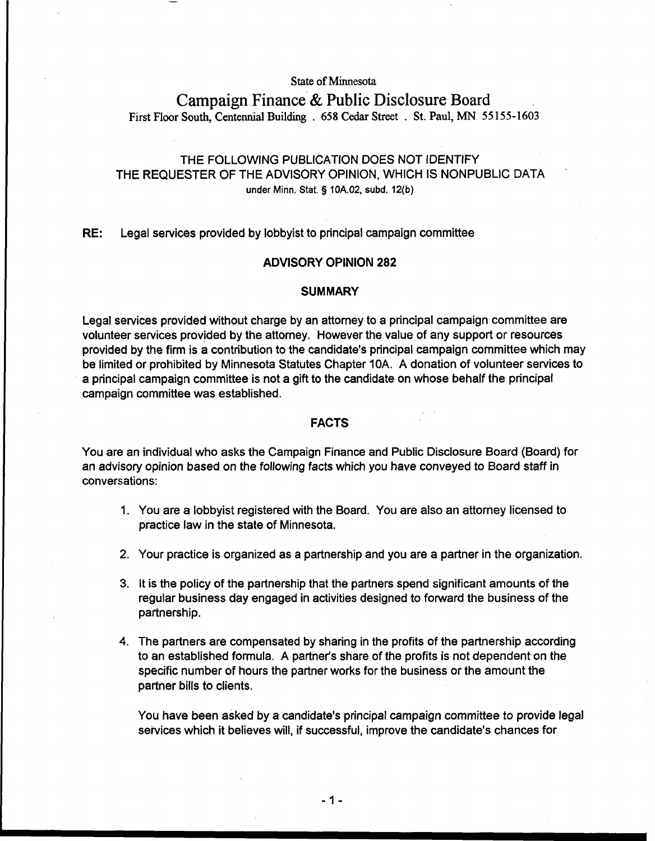**State of Minnesota** 

### **Campaign Finance** & **Public Disclosure** Board **First Floor South, Centennial Building** . **658 Cedar Street** . **St. Paul,** MN **55155-1603**

### THE FOLLOWING PUBLICATION DOES NOT IDENTIFY THE REQUESTER OF THE ADVISORY OPINION, WHICH IS NONPUBLIC DATA **under Minn.** Stat. **5 10A.02, subd. 12(b)**

RE: Legal services provided by lobbyist to principal campaign committee

# I **ADVISORY OPINION 282**

## **I** SUMMARY **SUMMARY**

Legal services provided without charge by an attorney to a principal campaign committee are volunteer services provided by the attorney. However the value of any support or resources provided by the firm is a contribution to the candidate's principal campaign committee which may be limited or prohibited by Minnesota Statutes Chapter 10A. A donation of volunteer services to a principal campaign committee is not a gift to the candidate on whose behalf the principal campaign committee was established.

### **FACTS**

You are an individual who asks the Campaign Finance and Public Disclosure Board (Board) for an advisory opinion based on the following facts which you have conveyed to Board staff in conversations:

- 1. You are a lobbyist registered with the Board. You are also an attorney licensed to practice law in the state of Minnesota.
- 2. Your practice is organized as a partnership and you are a partner in the organization.
- 3. It is the policy of the partnership that the partners spend significant amounts of the regular business day engaged in activities designed to foward the business of the partnership.
- 4. The partners are compensated by sharing in the profits of the partnership according to an established formula. A partner's share of the profits is not dependent on the specific number of hours the partner works for the business or the amount the partner bills to clients.

You have been asked by a candidate's principal campaign committee to provide legal services which it believes will, if successful, improve the candidate's chances for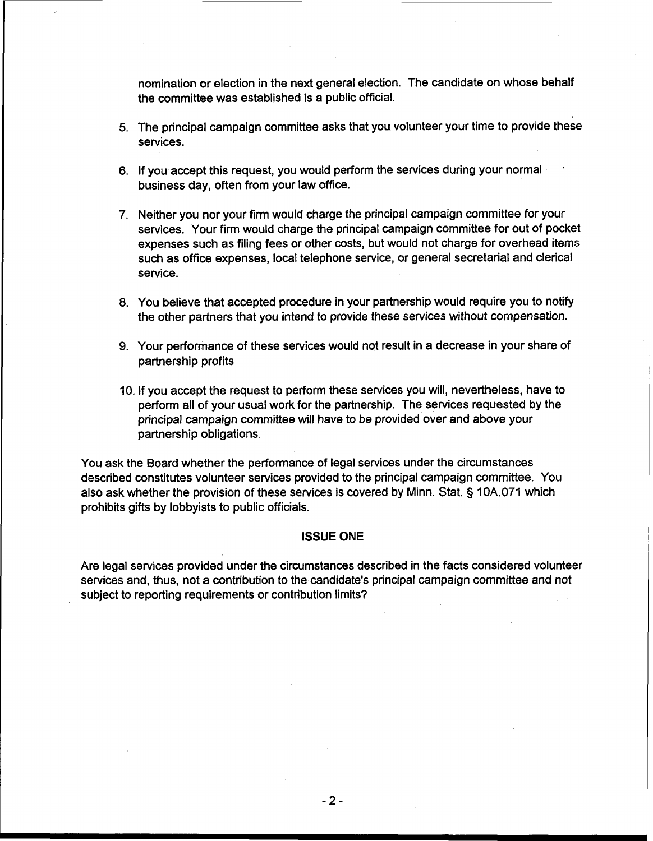nomination or election in the next general election. The candidate on whose behalf the committee was established is a public official.

- 5. The principal campaign committee asks that you volunteer your time to provide these services.
- 6. If you accept this request, you would perform the services during your normal business day, often from your law office.
- 7. Neither you nor your firm would charge the principal campaign committee for your services. Your firm would charge the principal campaign committee for out of pocket expenses such as filing fees or other costs, but would not charge for overhead items such as office expenses, local telephone service, or general secretarial and clerical service.
- 8. You believe that accepted procedure in your partnership would require you to notify the other partners that you intend to provide these services without compensation.
- 9. Your performance of these services would not result in a decrease in your share of partnership profits
- **10.** If you accept the request to perform these services you will, nevertheless, have to perform all of your usual work for the partnership. The services requested by the principal campaign committee will have to be provided over and above your partnership obligations.

You ask the Board whether the performance of legal services under the circumstances described constitutes volunteer services provided to the principal campaign committee. You also ask whether the provision of these services is covered by Minn. Stat. **3 10A.071** which prohibits gifts by lobbyists to public officials.

### **ISSUE ONE**

Are legal services provided under the circumstances described in the facts considered volunteer services and, thus, not a contribution to the candidate's principal campaign committee and not subject to reporting requirements or contribution limits?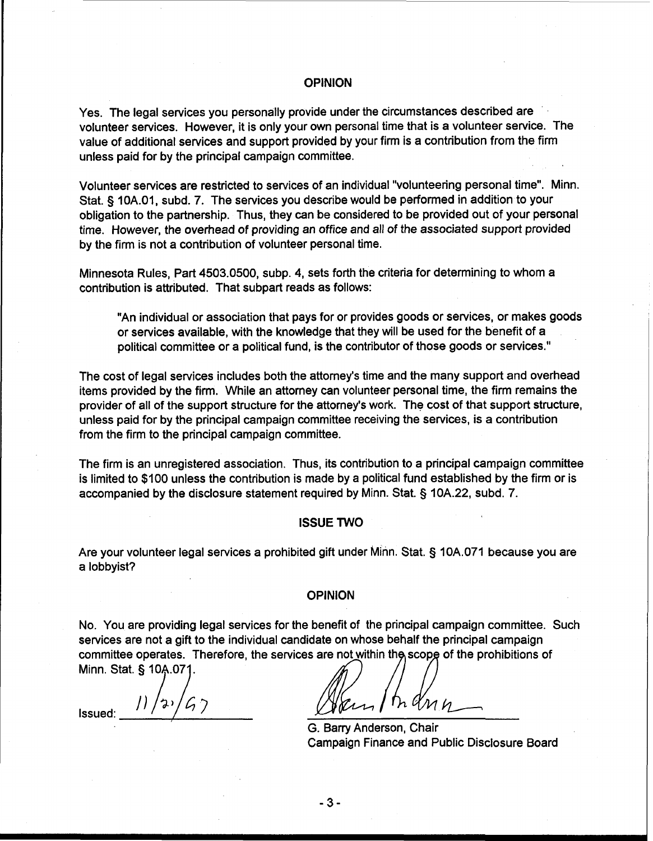# **In the contract of the contract of the contract of the contract of the contract of the contract of the contract of the contract of the contract of the contract of the contract of the contract of the contract of the contra**

Yes. The legal services you personally provide under the circumstances described are volunteer services. However, it is only your own personal time that is a volunteer service. The value of additional services and support provided by your firm is a contribution from the firm unless paid for by the principal campaign committee.

Volunteer services are restricted to services of an individual "volunteering personal time". Minn. Stat. § 10A.01, subd. 7. The services you describe would be performed in addition to your obligation to the partnership. Thus, they can be considered to be provided out of your personal time. However, the overhead of providing an office and all of the associated support provided by the firm is not a contribution of volunteer personal time.

Minnesota Rules, Part 4503.0500, subp. 4, sets forth the criteria for determining to whom a contribution is attributed. That subpart reads as follows:

"An individual or association that pays for or provides goods or services, or makes goods or services available, with the knowledge that they will be used for the benefit of a political committee or a political fund, is the contributor of those goods or services."

The cost of legal services includes both the attorney's time and the many support and overhead items provided by the firm. While an attorney can volunteer personal time, the firm remains the provider of all of the support structure for the attorney's work. The cost of that support structure, unless paid for by the principal campaign committee receiving the services, is a contribution from the firm to the principal campaign committee.

The firm is an unregistered association. Thus, its contribution to a principal campaign committee is limited to \$100 unless the contribution is made by a political fund established by the firm or is accompanied by the disclosure statement required by Minn. Stat. § 10A.22, subd. 7.

### ISSUE TWO

Are your volunteer legal services a prohibited gift under Minn. Stat. **5** 10A.071 because you are a lobbyist?

#### OPINION

No. You are providing legal services for the benefit of the principal campaign committee. Such services are not a gift to the individual candidate on whose behalf the principal campaign committee operates. Therefore, the services are not within the scope of the prohibitions of Minn. Stat. § 10A.071.

Issued:  $11/22/67$  Avent Indin

G. Barry Anderson, Chair Campaign Finance and Public Disclosure Board